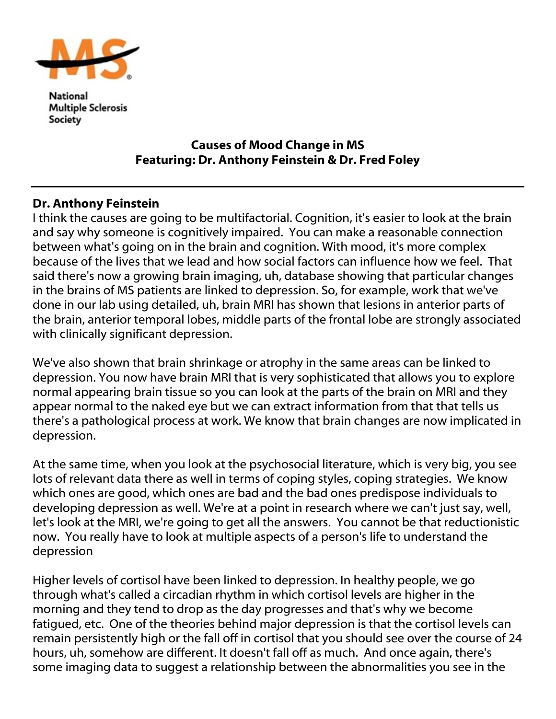

National **Multiple Sclerosis** Society

## Causes of Mood Change in MS Featuring: Dr. Anthony Feinstein & Dr. Fred Foley

## Dr. Anthony Feinstein

I think the causes are going to be multifactorial. Cognition, it's easier to look at the brain and say why someone is cognitively impaired. You can make a reasonable connection between what's going on in the brain and cognition. With mood, it's more complex because of the lives that we lead and how social factors can influence how we feel. That said there's now a growing brain imaging, uh, database showing that particular changes in the brains of MS patients are linked to depression. So, for example, work that we've done in our lab using detailed, uh, brain MRI has shown that lesions in anterior parts of the brain, anterior temporal lobes, middle parts of the frontal lobe are strongly associated with clinically significant depression.

We've also shown that brain shrinkage or atrophy in the same areas can be linked to depression. You now have brain MRI that is very sophisticated that allows you to explore normal appearing brain tissue so you can look at the parts of the brain on MRI and they appear normal to the naked eye but we can extract information from that that tells us there's a pathological process at work. We know that brain changes are now implicated in depression.

At the same time, when you look at the psychosocial literature, which is very big, you see lots of relevant data there as well in terms of coping styles, coping strategies. We know which ones are good, which ones are bad and the bad ones predispose individuals to developing depression as well. We're at a point in research where we can't just say, well, let's look at the MRI, we're going to get all the answers. You cannot be that reductionistic now. You really have to look at multiple aspects of a person's life to understand the depression

Higher levels of cortisol have been linked to depression. In healthy people, we go through what's called a circadian rhythm in which cortisol levels are higher in the morning and they tend to drop as the day progresses and that's why we become fatigued, etc. One of the theories behind major depression is that the cortisol levels can remain persistently high or the fall off in cortisol that you should see over the course of 24 hours, uh, somehow are different. It doesn't fall off as much. And once again, there's some imaging data to suggest a relationship between the abnormalities you see in the